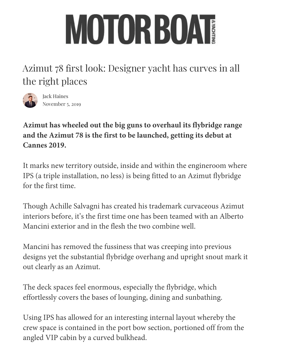## MOTORBOAT

Azimut 78 first look: Designer yacht has curves in all [th](https://www.youtube.com/channel/UC36Hy_G_pHxIO3c2avWfLOw)[e right places](https://www.youtube.com/watch?v=X9f2kFvt374)



Jack Haines November 5, 2019

**Azimut has wheeled out the big guns to overhaul its flybridge range and the Azimut 78 is the first to be launched, getting its debut at Cannes 2019.**

It marks new territory outside, inside and within the engineroom where IPS (a triple installation, no less) is being fitted to an Azimut flybridge for the first time.

Though Achille Salvagni has created his trademark curvaceous Azimut interiors before, it's the first time one has been teamed with an Alberto Mancini exterior and in the flesh the two combine well.

Mancini has removed the fussiness that was creeping into previous designs yet the substantial flybridge overhang and upright snout mark it out [clearly as an A](https://www.mby.com/author/jackhaines)zimut.

The deck spaces feel enormous, especially the flybridge, which effortlessly covers the bases of lounging, dining and sunbathing.

Using IPS has allowed for an interesting internal layout whereby the crew space is contained in the port bow section, portioned off from the angled VIP cabin by a curved bulkhead.